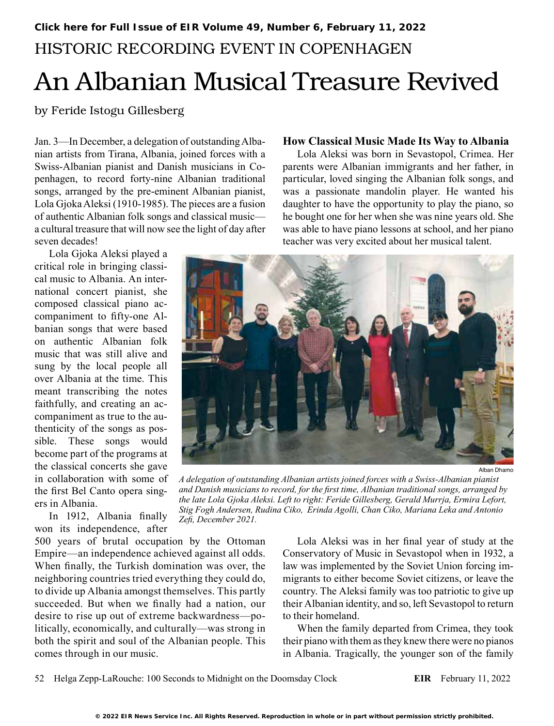# HISTORIC RECORDING EVENT IN COPENHAGEN An Albanian Musical Treasure Revived

by Feride Istogu Gillesberg

Jan. 3—In December, a delegation of outstanding Albanian artists from Tirana, Albania, joined forces with a Swiss-Albanian pianist and Danish musicians in Copenhagen, to record forty-nine Albanian traditional songs, arranged by the pre-eminent Albanian pianist, Lola Gjoka Aleksi (1910-1985). The pieces are a fusion of authentic Albanian folk songs and classical music a cultural treasure that will now see the light of day after seven decades!

Lola Gjoka Aleksi played a critical role in bringing classical music to Albania. An international concert pianist, she composed classical piano accompaniment to fifty-one Albanian songs that were based on authentic Albanian folk music that was still alive and sung by the local people all over Albania at the time. This meant transcribing the notes faithfully, and creating an accompaniment as true to the authenticity of the songs as possible. These songs would become part of the programs at the classical concerts she gave in collaboration with some of the first Bel Canto opera singers in Albania.

In 1912, Albania finally won its independence, after

500 years of brutal occupation by the Ottoman Empire—an independence achieved against all odds. When finally, the Turkish domination was over, the neighboring countries tried everything they could do, to divide up Albania amongst themselves. This partly succeeded. But when we finally had a nation, our desire to rise up out of extreme backwardness—politically, economically, and culturally—was strong in both the spirit and soul of the Albanian people. This comes through in our music.

#### **How Classical Music Made Its Way to Albania**

Lola Aleksi was born in Sevastopol, Crimea. Her parents were Albanian immigrants and her father, in particular, loved singing the Albanian folk songs, and was a passionate mandolin player. He wanted his daughter to have the opportunity to play the piano, so he bought one for her when she was nine years old. She was able to have piano lessons at school, and her piano teacher was very excited about her musical talent.



Alban Dhamo

*A delegation of outstanding Albanian artists joined forces with a Swiss-Albanian pianist and Danish musicians to record, for the first time, Albanian traditional songs, arranged by the late Lola Gjoka Aleksi. Left to right: Feride Gillesberg, Gerald Murrja, Ermira Lefort, Stig Fogh Andersen, Rudina Ciko, Erinda Agolli, Chan Ciko, Mariana Leka and Antonio Zefi, December 2021.*

Lola Aleksi was in her final year of study at the Conservatory of Music in Sevastopol when in 1932, a law was implemented by the Soviet Union forcing immigrants to either become Soviet citizens, or leave the country. The Aleksi family was too patriotic to give up their Albanian identity, and so, left Sevastopol to return to their homeland.

When the family departed from Crimea, they took their piano with them as they knew there were no pianos in Albania. Tragically, the younger son of the family

52 Helga Zepp-LaRouche: 100 Seconds to Midnight on the Doomsday Clock **EIR** February 11, 2022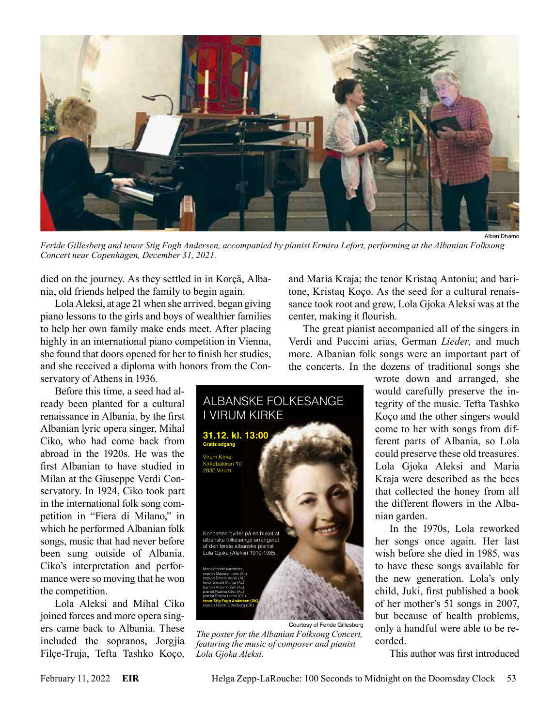

*Feride Gillesberg and tenor Stig Fogh Andersen, accompanied by pianist Ermira Lefort, performing at the Albanian Folksong Concert near Copenhagen, December 31, 2021.*

died on the journey. As they settled in in Korçä, Albania, old friends helped the family to begin again.

Lola Aleksi, at age 21 when she arrived, began giving piano lessons to the girls and boys of wealthier families to help her own family make ends meet. After placing highly in an international piano competition in Vienna, she found that doors opened for her to finish her studies, and she received a diploma with honors from the Conservatory of Athens in 1936.

Before this time, a seed had already been planted for a cultural renaissance in Albania, by the first Albanian lyric opera singer, Mihal Ciko, who had come back from abroad in the 1920s. He was the first Albanian to have studied in Milan at the Giuseppe Verdi Conservatory. In 1924, Ciko took part in the international folk song competition in "Fiera di Milano," in which he performed Albanian folk songs, music that had never before

been sung outside of Albania. Ciko's interpretation and performance were so moving that he won the competition.

Lola Aleksi and Mihal Ciko joined forces and more opera singers came back to Albania. These included the sopranos, Jorgjia Filçe-Truja, Tefta Tashko Koço,

and Maria Kraja; the tenor Kristaq Antoniu; and baritone, Kristaq Koço. As the seed for a cultural renaissance took root and grew, Lola Gjoka Aleksi was at the center, making it flourish.

The great pianist accompanied all of the singers in Verdi and Puccini arias, German *Lieder,* and much more. Albanian folk songs were an important part of the concerts. In the dozens of traditional songs she

> wrote down and arranged, she would carefully preserve the integrity of the music. Tefta Tashko Koço and the other singers would come to her with songs from different parts of Albania, so Lola could preserve these old treasures. Lola Gjoka Aleksi and Maria Kraja were described as the bees that collected the honey from all the different flowers in the Albanian garden.

> In the 1970s, Lola reworked her songs once again. Her last wish before she died in 1985, was to have these songs available for the new generation. Lola's only child, Juki, first published a book of her mother's 51 songs in 2007, but because of health problems, only a handful were able to be recorded.

This author was first introduced



*The poster for the Albanian Folksong Concert, featuring the music of composer and pianist Lola Gjoka Aleksi.*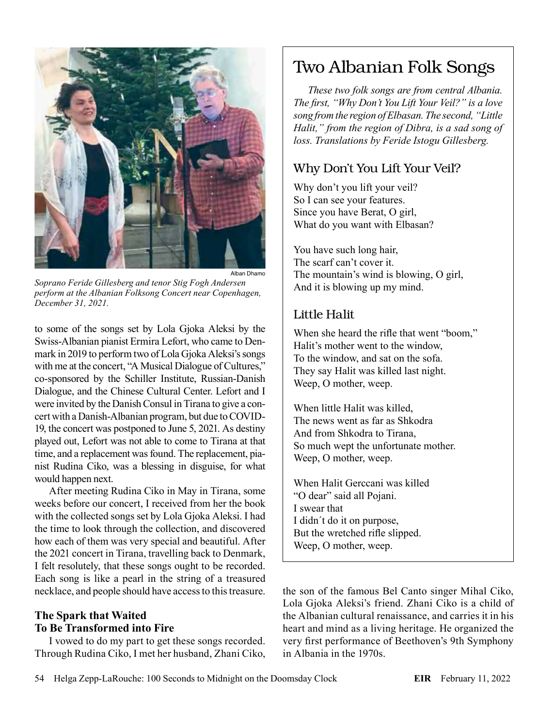

*Soprano Feride Gillesberg and tenor Stig Fogh Andersen perform at the Albanian Folksong Concert near Copenhagen, December 31, 2021.*

to some of the songs set by Lola Gjoka Aleksi by the Swiss-Albanian pianist Ermira Lefort, who came to Denmark in 2019 to perform two of Lola Gjoka Aleksi's songs with me at the concert, "A Musical Dialogue of Cultures," co-sponsored by the Schiller Institute, Russian-Danish Dialogue, and the Chinese Cultural Center. Lefort and I were invited by the Danish Consul in Tirana to give a concert with a Danish-Albanian program, but due to COVID-19, the concert was postponed to June 5, 2021. As destiny played out, Lefort was not able to come to Tirana at that time, and a replacement was found. The replacement, pianist Rudina Ciko, was a blessing in disguise, for what would happen next.

After meeting Rudina Ciko in May in Tirana, some weeks before our concert, I received from her the book with the collected songs set by Lola Gjoka Aleksi. I had the time to look through the collection, and discovered how each of them was very special and beautiful. After the 2021 concert in Tirana, travelling back to Denmark, I felt resolutely, that these songs ought to be recorded. Each song is like a pearl in the string of a treasured necklace, and people should have access to this treasure.

### **The Spark that Waited To Be Transformed into Fire**

I vowed to do my part to get these songs recorded. Through Rudina Ciko, I met her husband, Zhani Ciko,

# Two Albanian Folk Songs

*These two folk songs are from central Albania. The first, "Why Don't You Lift Your Veil?" is a love song from the region of Elbasan. The second, "Little Halit," from the region of Dibra, is a sad song of loss. Translations by Feride Istogu Gillesberg.*

## Why Don't You Lift Your Veil?

Why don't you lift your veil? So I can see your features. Since you have Berat, O girl, What do you want with Elbasan?

You have such long hair, The scarf can't cover it. The mountain's wind is blowing, O girl, And it is blowing up my mind.

### Little Halit

When she heard the rifle that went "boom," Halit's mother went to the window, To the window, and sat on the sofa. They say Halit was killed last night. Weep, O mother, weep.

When little Halit was killed, The news went as far as Shkodra And from Shkodra to Tirana, So much wept the unfortunate mother. Weep, O mother, weep.

When Halit Gerccani was killed "O dear" said all Pojani. I swear that I didn´t do it on purpose, But the wretched rifle slipped. Weep, O mother, weep.

the son of the famous Bel Canto singer Mihal Ciko, Lola Gjoka Aleksi's friend. Zhani Ciko is a child of the Albanian cultural renaissance, and carries it in his heart and mind as a living heritage. He organized the very first performance of Beethoven's 9th Symphony in Albania in the 1970s.